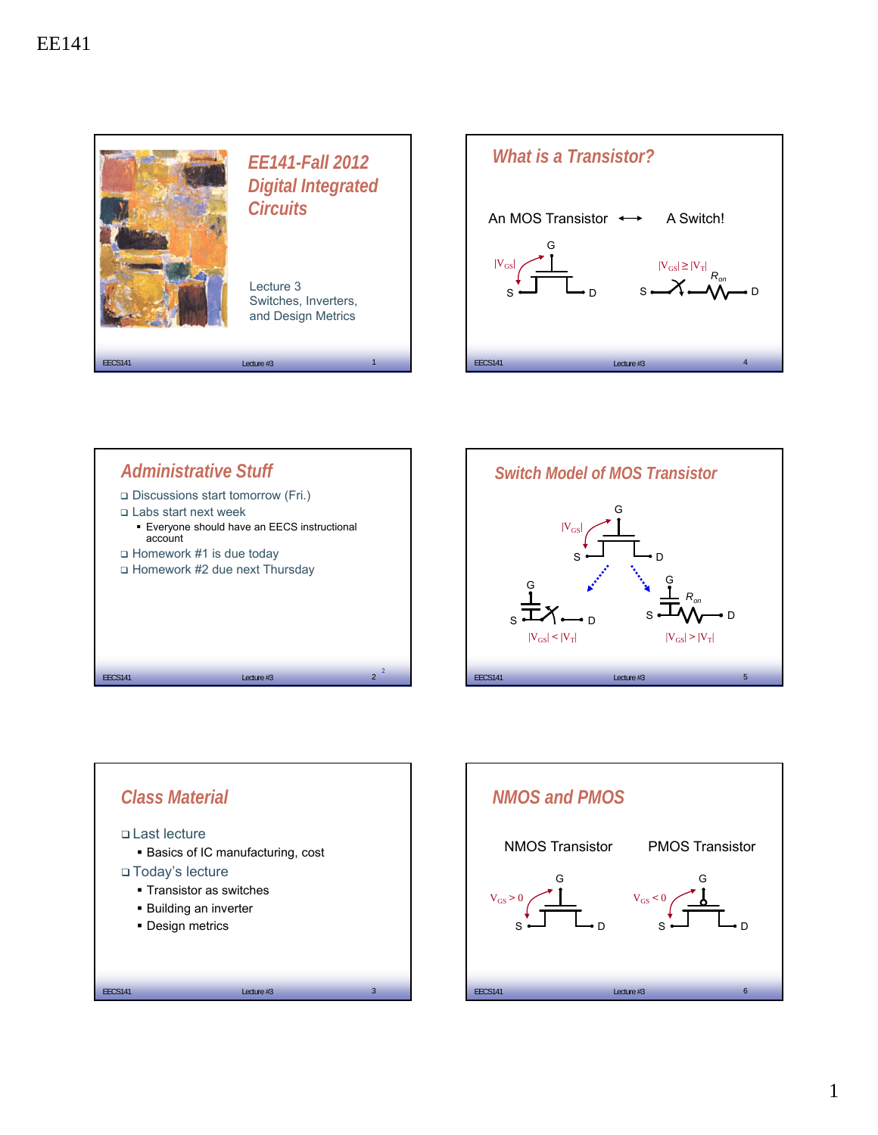









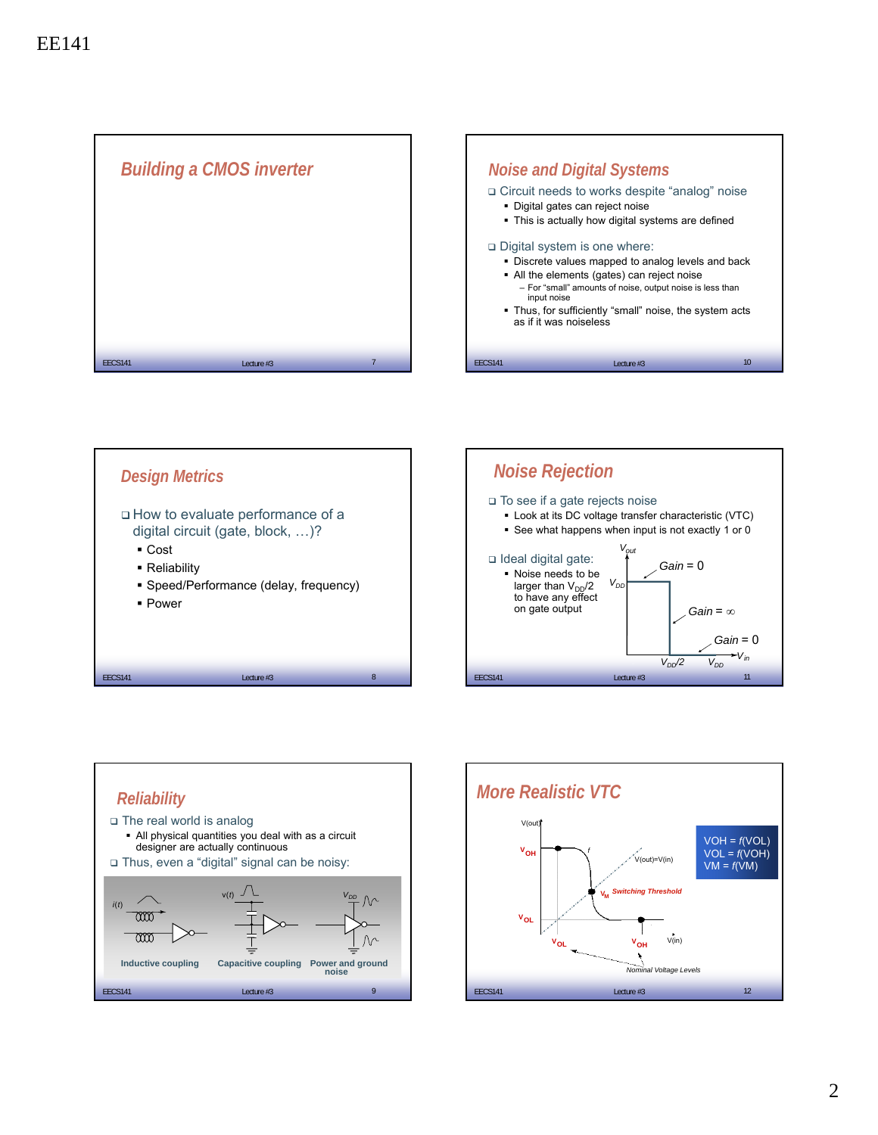





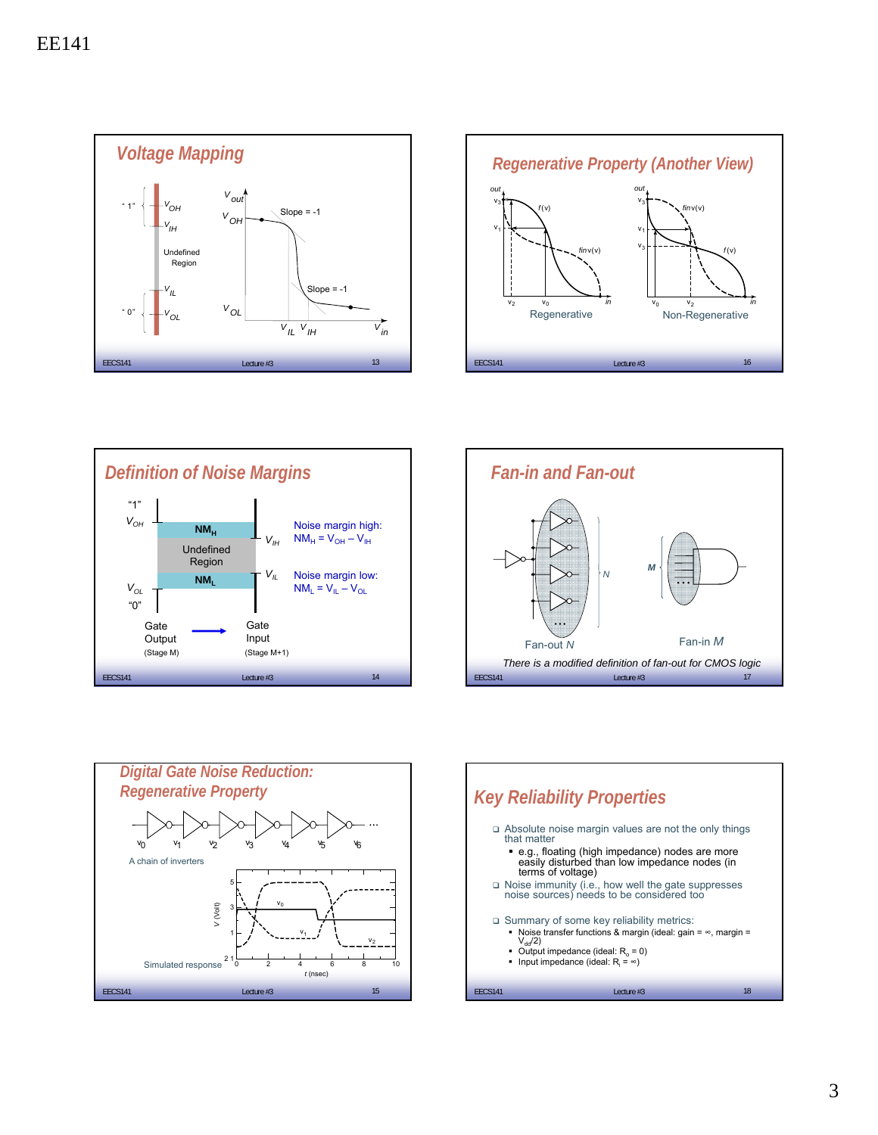









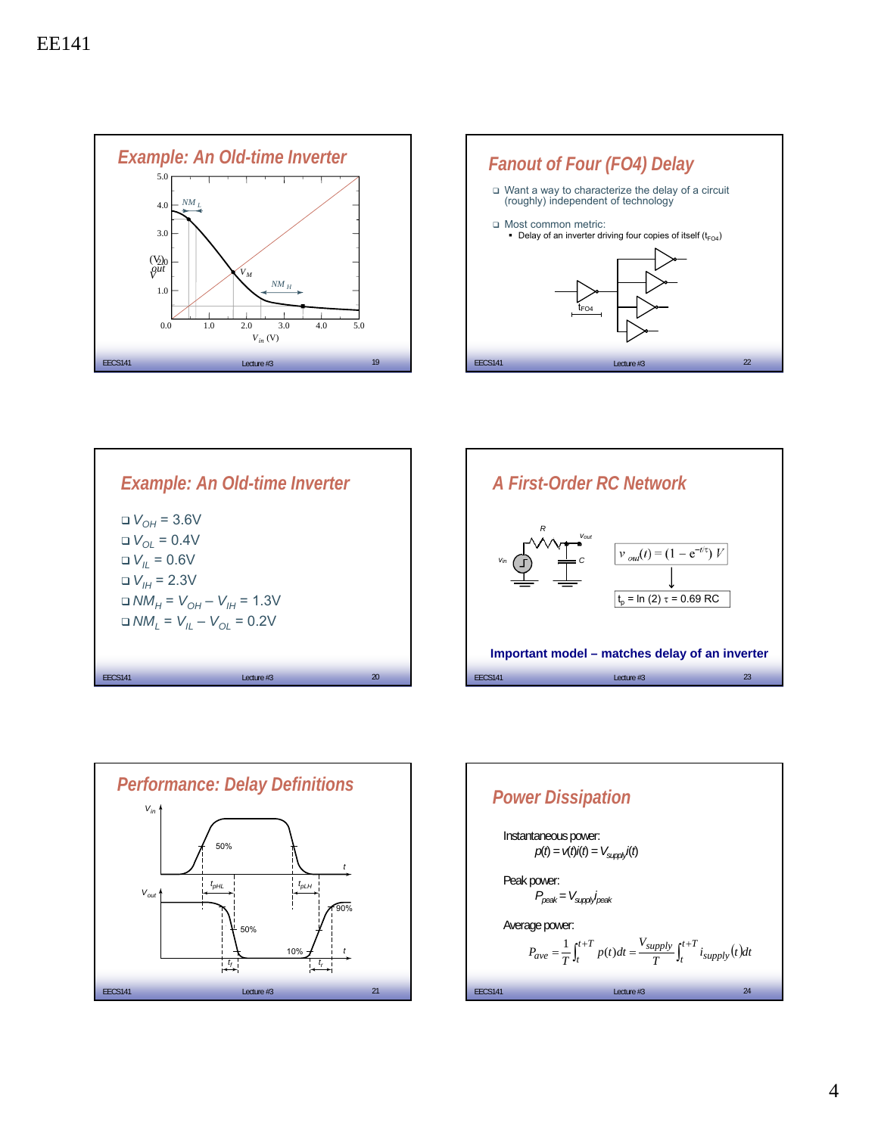









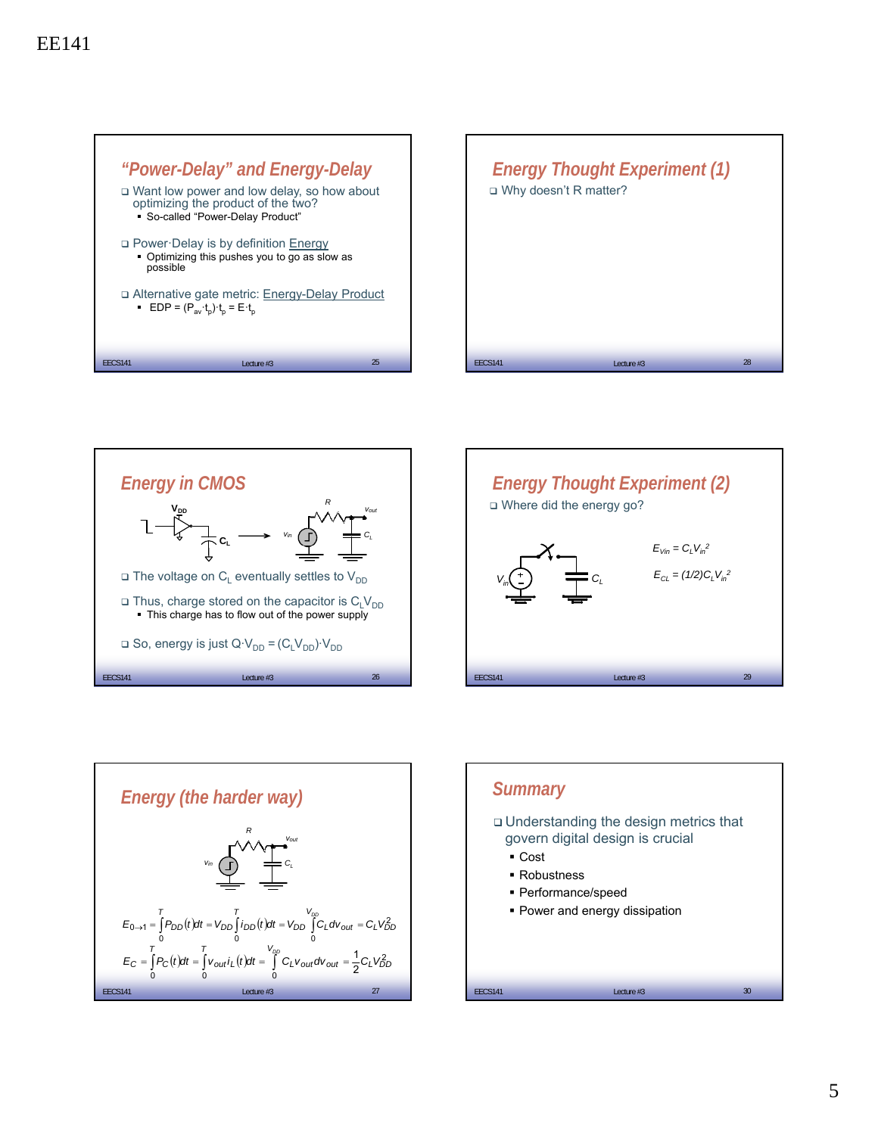